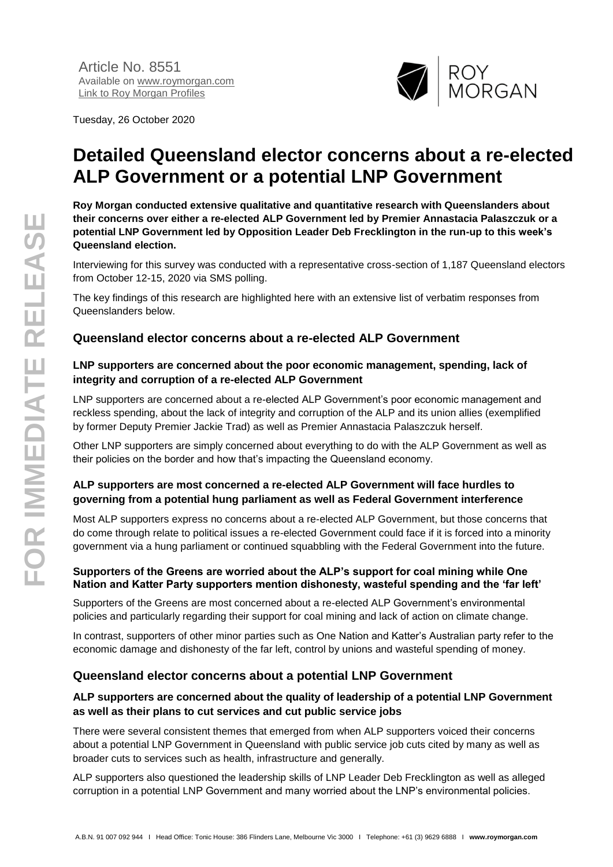Tuesday, 26 October 2020



# **Detailed Queensland elector concerns about a re-elected ALP Government or a potential LNP Government**

**Roy Morgan conducted extensive qualitative and quantitative research with Queenslanders about their concerns over either a re-elected ALP Government led by Premier Annastacia Palaszczuk or a potential LNP Government led by Opposition Leader Deb Frecklington in the run-up to this week's Queensland election.**

Interviewing for this survey was conducted with a representative cross-section of 1,187 Queensland electors from October 12-15, 2020 via SMS polling.

The key findings of this research are highlighted here with an extensive list of verbatim responses from Queenslanders below.

# **Queensland elector concerns about a re-elected ALP Government**

## **LNP supporters are concerned about the poor economic management, spending, lack of integrity and corruption of a re-elected ALP Government**

LNP supporters are concerned about a re-elected ALP Government's poor economic management and reckless spending, about the lack of integrity and corruption of the ALP and its union allies (exemplified by former Deputy Premier Jackie Trad) as well as Premier Annastacia Palaszczuk herself.

Other LNP supporters are simply concerned about everything to do with the ALP Government as well as their policies on the border and how that's impacting the Queensland economy.

# **ALP supporters are most concerned a re-elected ALP Government will face hurdles to governing from a potential hung parliament as well as Federal Government interference**

Most ALP supporters express no concerns about a re-elected ALP Government, but those concerns that do come through relate to political issues a re-elected Government could face if it is forced into a minority government via a hung parliament or continued squabbling with the Federal Government into the future.

## **Supporters of the Greens are worried about the ALP's support for coal mining while One Nation and Katter Party supporters mention dishonesty, wasteful spending and the 'far left'**

Supporters of the Greens are most concerned about a re-elected ALP Government's environmental policies and particularly regarding their support for coal mining and lack of action on climate change.

In contrast, supporters of other minor parties such as One Nation and Katter's Australian party refer to the economic damage and dishonesty of the far left, control by unions and wasteful spending of money.

# **Queensland elector concerns about a potential LNP Government**

## **ALP supporters are concerned about the quality of leadership of a potential LNP Government as well as their plans to cut services and cut public service jobs**

There were several consistent themes that emerged from when ALP supporters voiced their concerns about a potential LNP Government in Queensland with public service job cuts cited by many as well as broader cuts to services such as health, infrastructure and generally.

ALP supporters also questioned the leadership skills of LNP Leader Deb Frecklington as well as alleged corruption in a potential LNP Government and many worried about the LNP's environmental policies.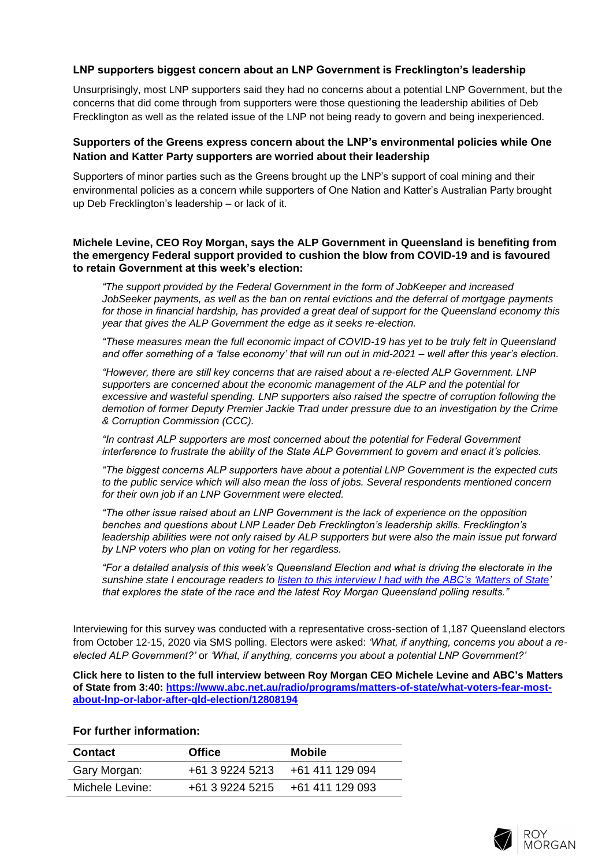## **LNP supporters biggest concern about an LNP Government is Frecklington's leadership**

Unsurprisingly, most LNP supporters said they had no concerns about a potential LNP Government, but the concerns that did come through from supporters were those questioning the leadership abilities of Deb Frecklington as well as the related issue of the LNP not being ready to govern and being inexperienced.

## **Supporters of the Greens express concern about the LNP's environmental policies while One Nation and Katter Party supporters are worried about their leadership**

Supporters of minor parties such as the Greens brought up the LNP's support of coal mining and their environmental policies as a concern while supporters of One Nation and Katter's Australian Party brought up Deb Frecklington's leadership – or lack of it.

#### **Michele Levine, CEO Roy Morgan, says the ALP Government in Queensland is benefiting from the emergency Federal support provided to cushion the blow from COVID-19 and is favoured to retain Government at this week's election:**

*"The support provided by the Federal Government in the form of JobKeeper and increased JobSeeker payments, as well as the ban on rental evictions and the deferral of mortgage payments for those in financial hardship, has provided a great deal of support for the Queensland economy this year that gives the ALP Government the edge as it seeks re-election.*

*"These measures mean the full economic impact of COVID-19 has yet to be truly felt in Queensland and offer something of a 'false economy' that will run out in mid-2021 – well after this year's election.*

*"However, there are still key concerns that are raised about a re-elected ALP Government. LNP supporters are concerned about the economic management of the ALP and the potential for excessive and wasteful spending. LNP supporters also raised the spectre of corruption following the demotion of former Deputy Premier Jackie Trad under pressure due to an investigation by the Crime & Corruption Commission (CCC).*

*"In contrast ALP supporters are most concerned about the potential for Federal Government interference to frustrate the ability of the State ALP Government to govern and enact it's policies.*

*"The biggest concerns ALP supporters have about a potential LNP Government is the expected cuts to the public service which will also mean the loss of jobs. Several respondents mentioned concern for their own job if an LNP Government were elected.*

*"The other issue raised about an LNP Government is the lack of experience on the opposition benches and questions about LNP Leader Deb Frecklington's leadership skills. Frecklington's leadership abilities were not only raised by ALP supporters but were also the main issue put forward by LNP voters who plan on voting for her regardless.*

*"For a detailed analysis of this week's Queensland Election and what is driving the electorate in the sunshine state I encourage readers to [listen to this interview I had with the ABC's 'Matters](https://www.abc.net.au/radio/programs/matters-of-state/what-voters-fear-most-about-lnp-or-labor-after-qld-election/12808194) of State' that explores the state of the race and the latest Roy Morgan Queensland polling results."* 

Interviewing for this survey was conducted with a representative cross-section of 1,187 Queensland electors from October 12-15, 2020 via SMS polling. Electors were asked: *'What, if anything, concerns you about a reelected ALP Government?'* or *'What, if anything, concerns you about a potential LNP Government?'*

**Click here to listen to the full interview between Roy Morgan CEO Michele Levine and ABC's Matters of State from 3:40: [https://www.abc.net.au/radio/programs/matters-of-state/what-voters-fear-most](https://www.abc.net.au/radio/programs/matters-of-state/what-voters-fear-most-about-lnp-or-labor-after-qld-election/12808194)[about-lnp-or-labor-after-qld-election/12808194](https://www.abc.net.au/radio/programs/matters-of-state/what-voters-fear-most-about-lnp-or-labor-after-qld-election/12808194)**

#### **For further information:**

| Contact         | <b>Office</b>   | <b>Mobile</b>   |
|-----------------|-----------------|-----------------|
| Gary Morgan:    | +61 3 9224 5213 | +61 411 129 094 |
| Michele Levine: | +61 3 9224 5215 | +61 411 129 093 |

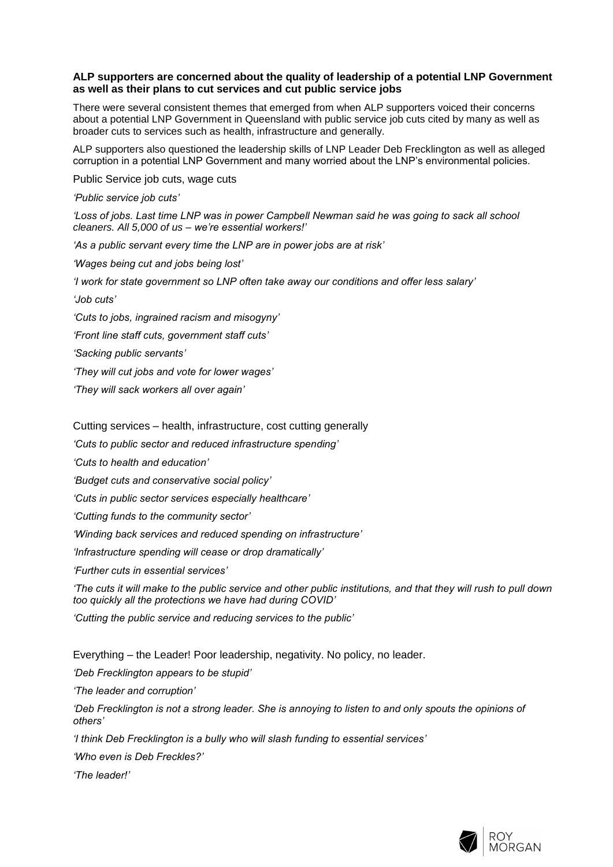#### **ALP supporters are concerned about the quality of leadership of a potential LNP Government as well as their plans to cut services and cut public service jobs**

There were several consistent themes that emerged from when ALP supporters voiced their concerns about a potential LNP Government in Queensland with public service job cuts cited by many as well as broader cuts to services such as health, infrastructure and generally.

ALP supporters also questioned the leadership skills of LNP Leader Deb Frecklington as well as alleged corruption in a potential LNP Government and many worried about the LNP's environmental policies.

Public Service job cuts, wage cuts

*'Public service job cuts'*

*'Loss of jobs. Last time LNP was in power Campbell Newman said he was going to sack all school cleaners. All 5,000 of us – we're essential workers!'*

*'As a public servant every time the LNP are in power jobs are at risk'*

*'Wages being cut and jobs being lost'*

*'I work for state government so LNP often take away our conditions and offer less salary'*

*'Job cuts'*

*'Cuts to jobs, ingrained racism and misogyny'*

*'Front line staff cuts, government staff cuts'*

*'Sacking public servants'*

*'They will cut jobs and vote for lower wages'*

*'They will sack workers all over again'*

Cutting services – health, infrastructure, cost cutting generally

*'Cuts to public sector and reduced infrastructure spending'*

*'Cuts to health and education'*

*'Budget cuts and conservative social policy'*

*'Cuts in public sector services especially healthcare'*

*'Cutting funds to the community sector'*

*'Winding back services and reduced spending on infrastructure'*

*'Infrastructure spending will cease or drop dramatically'*

*'Further cuts in essential services'*

*'The cuts it will make to the public service and other public institutions, and that they will rush to pull down too quickly all the protections we have had during COVID'*

*'Cutting the public service and reducing services to the public'*

Everything – the Leader! Poor leadership, negativity. No policy, no leader.

*'Deb Frecklington appears to be stupid'*

*'The leader and corruption'*

'Deb Frecklington is not a strong leader. She is annoying to listen to and only spouts the opinions of *others'*

*'I think Deb Frecklington is a bully who will slash funding to essential services'*

*'Who even is Deb Freckles?'*

*'The leader!'*

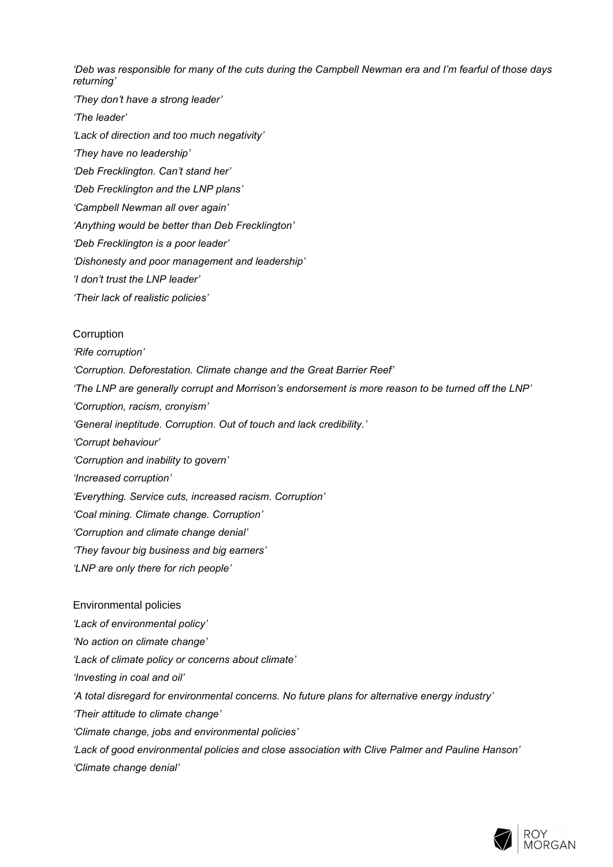*'Deb was responsible for many of the cuts during the Campbell Newman era and I'm fearful of those days returning'*

- *'They don't have a strong leader'*
- *'The leader'*
- *'Lack of direction and too much negativity'*
- *'They have no leadership'*
- *'Deb Frecklington. Can't stand her'*
- *'Deb Frecklington and the LNP plans'*
- *'Campbell Newman all over again'*
- *'Anything would be better than Deb Frecklington'*
- *'Deb Frecklington is a poor leader'*
- *'Dishonesty and poor management and leadership'*
- *'I don't trust the LNP leader'*
- *'Their lack of realistic policies'*

#### Corruption

- *'Rife corruption'*
- *'Corruption. Deforestation. Climate change and the Great Barrier Reef'*
- *'The LNP are generally corrupt and Morrison's endorsement is more reason to be turned off the LNP'*
- *'Corruption, racism, cronyism'*
- *'General ineptitude. Corruption. Out of touch and lack credibility.'*
- *'Corrupt behaviour'*
- *'Corruption and inability to govern'*
- *'Increased corruption'*
- *'Everything. Service cuts, increased racism. Corruption'*
- *'Coal mining. Climate change. Corruption'*
- *'Corruption and climate change denial'*
- *'They favour big business and big earners'*
- *'LNP are only there for rich people'*

#### Environmental policies

- *'Lack of environmental policy'*
- *'No action on climate change'*
- *'Lack of climate policy or concerns about climate'*
- *'Investing in coal and oil'*
- *'A total disregard for environmental concerns. No future plans for alternative energy industry'*
- *'Their attitude to climate change'*
- *'Climate change, jobs and environmental policies'*
- *'Lack of good environmental policies and close association with Clive Palmer and Pauline Hanson' 'Climate change denial'*

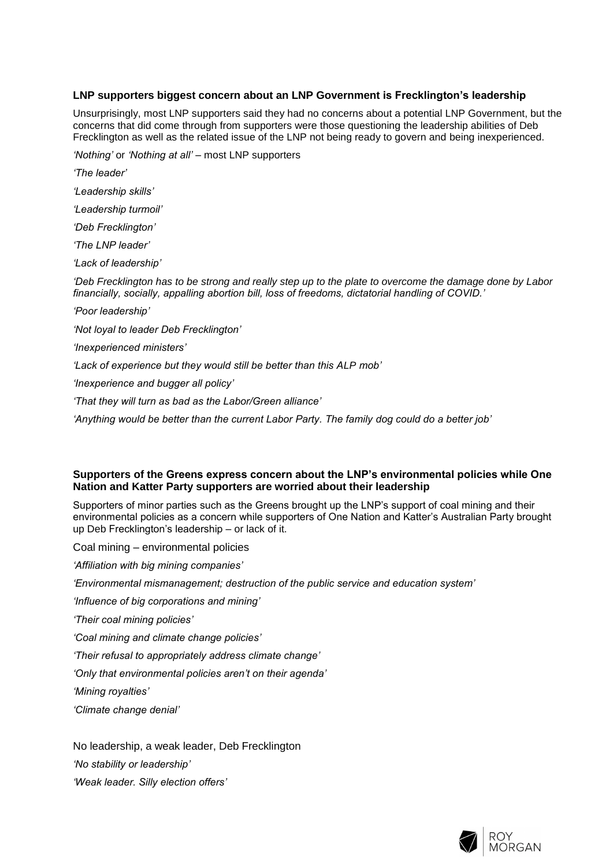#### **LNP supporters biggest concern about an LNP Government is Frecklington's leadership**

Unsurprisingly, most LNP supporters said they had no concerns about a potential LNP Government, but the concerns that did come through from supporters were those questioning the leadership abilities of Deb Frecklington as well as the related issue of the LNP not being ready to govern and being inexperienced.

*'Nothing'* or *'Nothing at all'* – most LNP supporters

*'The leader' 'Leadership skills' 'Leadership turmoil' 'Deb Frecklington' 'The LNP leader' 'Lack of leadership' 'Deb Frecklington has to be strong and really step up to the plate to overcome the damage done by Labor financially, socially, appalling abortion bill, loss of freedoms, dictatorial handling of COVID.' 'Poor leadership' 'Not loyal to leader Deb Frecklington' 'Inexperienced ministers' 'Lack of experience but they would still be better than this ALP mob' 'Inexperience and bugger all policy' 'That they will turn as bad as the Labor/Green alliance' 'Anything would be better than the current Labor Party. The family dog could do a better job'*

## **Supporters of the Greens express concern about the LNP's environmental policies while One Nation and Katter Party supporters are worried about their leadership**

Supporters of minor parties such as the Greens brought up the LNP's support of coal mining and their environmental policies as a concern while supporters of One Nation and Katter's Australian Party brought up Deb Frecklington's leadership – or lack of it.

Coal mining – environmental policies

*'Affiliation with big mining companies'*

*'Environmental mismanagement; destruction of the public service and education system'*

*'Influence of big corporations and mining'*

*'Their coal mining policies'*

*'Coal mining and climate change policies'*

*'Their refusal to appropriately address climate change'*

*'Only that environmental policies aren't on their agenda'*

*'Mining royalties'*

*'Climate change denial'*

No leadership, a weak leader, Deb Frecklington

*'No stability or leadership'*

*'Weak leader. Silly election offers'*

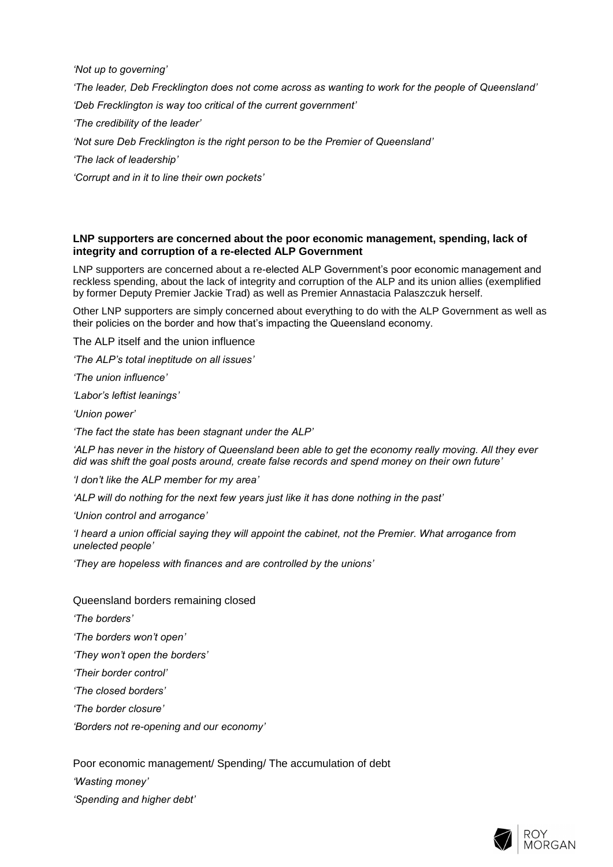*'Not up to governing'*

*'The leader, Deb Frecklington does not come across as wanting to work for the people of Queensland'*

*'Deb Frecklington is way too critical of the current government'*

*'The credibility of the leader'*

*'Not sure Deb Frecklington is the right person to be the Premier of Queensland'*

*'The lack of leadership'*

*'Corrupt and in it to line their own pockets'*

#### **LNP supporters are concerned about the poor economic management, spending, lack of integrity and corruption of a re-elected ALP Government**

LNP supporters are concerned about a re-elected ALP Government's poor economic management and reckless spending, about the lack of integrity and corruption of the ALP and its union allies (exemplified by former Deputy Premier Jackie Trad) as well as Premier Annastacia Palaszczuk herself.

Other LNP supporters are simply concerned about everything to do with the ALP Government as well as their policies on the border and how that's impacting the Queensland economy.

The ALP itself and the union influence

*'The ALP's total ineptitude on all issues'*

*'The union influence'*

*'Labor's leftist leanings'*

*'Union power'*

*'The fact the state has been stagnant under the ALP'*

*'ALP has never in the history of Queensland been able to get the economy really moving. All they ever did was shift the goal posts around, create false records and spend money on their own future'*

*'I don't like the ALP member for my area'*

*'ALP will do nothing for the next few years just like it has done nothing in the past'*

*'Union control and arrogance'*

*'I heard a union official saying they will appoint the cabinet, not the Premier. What arrogance from unelected people'*

*'They are hopeless with finances and are controlled by the unions'*

Queensland borders remaining closed

*'The borders'*

*'The borders won't open'*

*'They won't open the borders'*

*'Their border control'*

*'The closed borders'*

*'The border closure'*

*'Borders not re-opening and our economy'*

Poor economic management/ Spending/ The accumulation of debt

*'Wasting money'*

*'Spending and higher debt'*

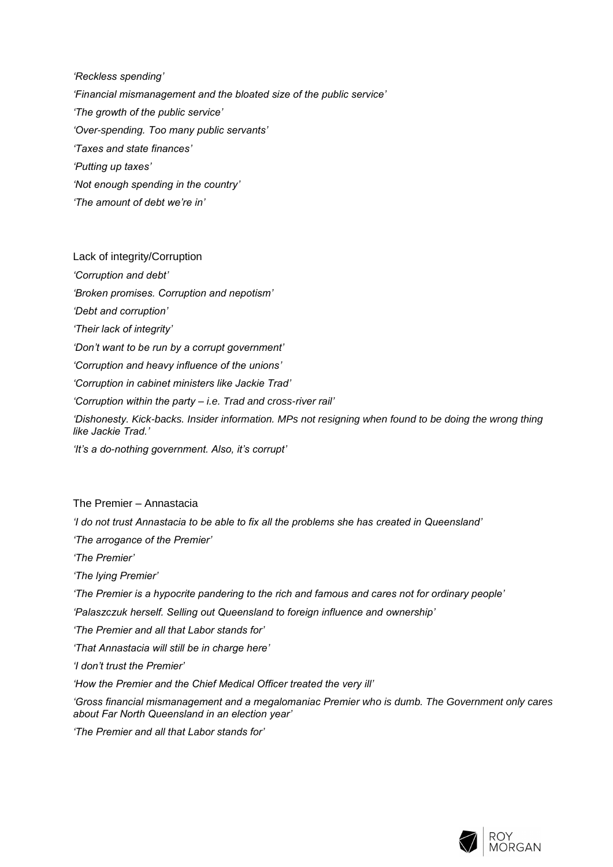*'Reckless spending' 'Financial mismanagement and the bloated size of the public service' 'The growth of the public service' 'Over-spending. Too many public servants' 'Taxes and state finances' 'Putting up taxes' 'Not enough spending in the country' 'The amount of debt we're in'*

Lack of integrity/Corruption *'Corruption and debt' 'Broken promises. Corruption and nepotism' 'Debt and corruption' 'Their lack of integrity' 'Don't want to be run by a corrupt government' 'Corruption and heavy influence of the unions' 'Corruption in cabinet ministers like Jackie Trad' 'Corruption within the party – i.e. Trad and cross-river rail' 'Dishonesty. Kick-backs. Insider information. MPs not resigning when found to be doing the wrong thing like Jackie Trad.' 'It's a do-nothing government. Also, it's corrupt'*

The Premier – Annastacia

*'I do not trust Annastacia to be able to fix all the problems she has created in Queensland'*

*'The arrogance of the Premier'*

*'The Premier'*

*'The lying Premier'*

*'The Premier is a hypocrite pandering to the rich and famous and cares not for ordinary people'*

*'Palaszczuk herself. Selling out Queensland to foreign influence and ownership'*

*'The Premier and all that Labor stands for'*

*'That Annastacia will still be in charge here'*

*'I don't trust the Premier'*

*'How the Premier and the Chief Medical Officer treated the very ill'*

*'Gross financial mismanagement and a megalomaniac Premier who is dumb. The Government only cares about Far North Queensland in an election year'*

*'The Premier and all that Labor stands for'*

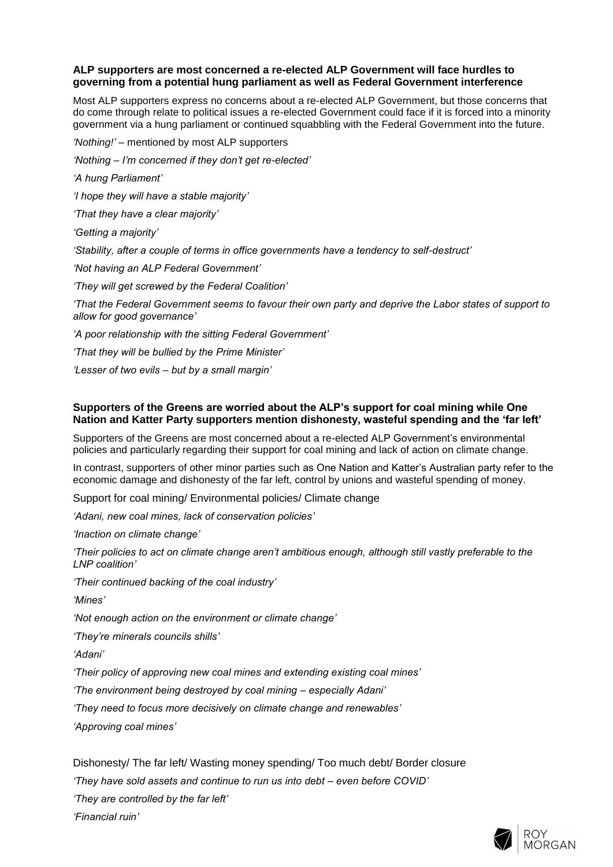#### **ALP supporters are most concerned a re-elected ALP Government will face hurdles to governing from a potential hung parliament as well as Federal Government interference**

Most ALP supporters express no concerns about a re-elected ALP Government, but those concerns that do come through relate to political issues a re-elected Government could face if it is forced into a minority government via a hung parliament or continued squabbling with the Federal Government into the future.

*'Nothing!'* – mentioned by most ALP supporters

*'Nothing – I'm concerned if they don't get re-elected'*

*'A hung Parliament'*

*'I hope they will have a stable majority'*

*'That they have a clear majority'*

*'Getting a majority'*

*'Stability, after a couple of terms in office governments have a tendency to self-destruct'*

*'Not having an ALP Federal Government'*

*'They will get screwed by the Federal Coalition'*

*'That the Federal Government seems to favour their own party and deprive the Labor states of support to allow for good governance'*

*'A poor relationship with the sitting Federal Government'*

*'That they will be bullied by the Prime Minister'*

*'Lesser of two evils – but by a small margin'*

#### **Supporters of the Greens are worried about the ALP's support for coal mining while One Nation and Katter Party supporters mention dishonesty, wasteful spending and the 'far left'**

Supporters of the Greens are most concerned about a re-elected ALP Government's environmental policies and particularly regarding their support for coal mining and lack of action on climate change.

In contrast, supporters of other minor parties such as One Nation and Katter's Australian party refer to the economic damage and dishonesty of the far left, control by unions and wasteful spending of money.

Support for coal mining/ Environmental policies/ Climate change

*'Adani, new coal mines, lack of conservation policies'*

*'Inaction on climate change'*

*'Their policies to act on climate change aren't ambitious enough, although still vastly preferable to the LNP coalition'*

*'Their continued backing of the coal industry'*

*'Mines'*

*'Not enough action on the environment or climate change'*

*'They're minerals councils shills'*

*'Adani'*

*'Their policy of approving new coal mines and extending existing coal mines'*

*'The environment being destroyed by coal mining – especially Adani'*

*'They need to focus more decisively on climate change and renewables'*

*'Approving coal mines'*

Dishonesty/ The far left/ Wasting money spending/ Too much debt/ Border closure

*'They have sold assets and continue to run us into debt – even before COVID'*

*'They are controlled by the far left'*

*'Financial ruin'*